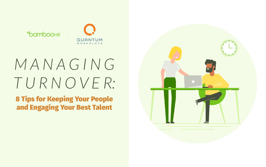

# *M A N A G I N G T U R N O V E R:*

8 Tips for Keeping Your People and Engaging Your Best Talent

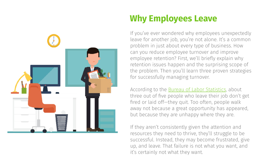

### **Why Employees Leave**

If you've ever wondered why employees unexpectedly leave for another job, you're not alone. It's a common problem in just about every type of business. How can you reduce employee turnover and improve employee retention? First, we'll briefly explain why retention issues happen and the surprising scope of the problem. Then you'll learn three proven strategies for successfully managing turnover.

According to the **Bureau of Labor Statistics**, about three out of five people who leave their job don't get fired or laid off—they quit. Too often, people walk away not because a great opportunity has appeared, but because they are unhappy where they are.

If they aren't consistently given the attention and resources they need to thrive, they'll struggle to be successful. Instead, they may become frustrated, give up, and leave. That failure is not what you want, and it's certainly not what they want.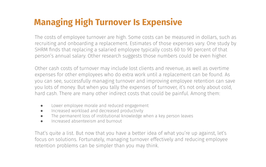### **Managing High Turnover Is Expensive**

The costs of employee turnover are high. Some costs can be measured in dollars, such as recruiting and onboarding a replacement. Estimates of those expenses vary. One study by SHRM finds that replacing a salaried employee typically costs 60 to 90 percent of that person's annual salary. Other research suggests those numbers could be even higher.

Other cash costs of turnover may include lost clients and revenue, as well as overtime expenses for other employees who do extra work until a replacement can be found. As you can see, successfully managing turnover and improving employee retention can save you lots of money. But when you tally the expenses of turnover, it's not only about cold, hard cash. There are many other indirect costs that could be painful. Among them:

- Lower employee morale and reduced engagement
- Increased workload and decreased productivity
- The permanent loss of institutional knowledge when a key person leaves
- Increased absenteeism and burnout

That's quite a list. But now that you have a better idea of what you're up against, let's focus on solutions. Fortunately, managing turnover effectively and reducing employee retention problems can be simpler than you may think.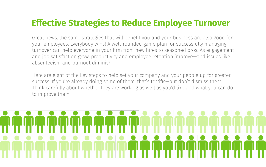#### **Effective Strategies to Reduce Employee Turnover**

Great news: the same strategies that will benefit you and your business are also good for your employees. Everybody wins! A well-rounded game plan for successfully managing turnover can help everyone in your firm from new hires to seasoned pros. As engagement and job satisfaction grow, productivity and employee retention improve—and issues like absenteeism and burnout diminish.

Here are eight of the key steps to help set your company and your people up for greater success. If you're already doing some of them, that's terrific—but don't dismiss them. Think carefully about whether they are working as well as you'd like and what you can do to improve them.

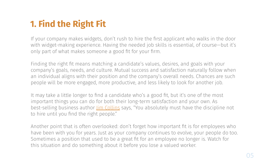## **1. Find the Right Fit**

If your company makes widgets, don't rush to hire the first applicant who walks in the door with widget-making experience. Having the needed job skills is essential, of course—but it's only part of what makes someone a good fit for your firm.

Finding the right fit means matching a candidate's values, desires, and goals with your company's goals, needs, and culture. Mutual success and satisfaction naturally follow when an individual aligns with their position and the company's overall needs. Chances are such people will be more engaged, more productive, and less likely to look for another job.

It may take a little longer to find a candidate who's a good fit, but it's one of the most important things you can do for both their long-term satisfaction and your own. As best-selling business author <u>Jim Collins</u> says, "You absolutely must have the discipline not to hire until you find the right people."

Another point that is often overlooked: don't forget how important fit is for employees who have been with you for years. Just as your company continues to evolve, your people do too. Sometimes a position that used to be a great fit for an employee no longer is. Watch for this situation and do something about it before you lose a valued worker.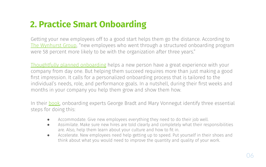### **2. Practice Smart Onboarding**

Getting your new employees off to a good start helps them go the distance. According to [The Wynhurst Group,](http://thewynhurstgroup.com/wp-content/uploads/2014/07/Help-New-Hires-Succeed.pdf) "new employees who went through a structured onboarding program were 58 percent more likely to be with the organization after three years."

[Thoughtfully planned onboarding](https://www.bamboohr.com/resources/guides/the-definitive-guide-to-successfully-onboarding-your-new-employees/) helps a new person have a great experience with your company from day one. But helping them succeed requires more than just making a good first impression. It calls for a personalized onboarding process that is tailored to the individual's needs, role, and performance goals. In a nutshell, during their first weeks and months in your company you help them grow and show them how.

In their [book](https://www.amazon.com/gp/product/0470485817?ie=UTF8&tag=walkswithsam-20&linkCode=as2&camp=1789&creative=390957&creativeASIN=0470485817), onboarding experts George Bradt and Mary Vonnegut identify three essential steps for doing this:

- Accommodate. Give new employees everything they need to do their job well.
- Assimilate. Make sure new hires are told clearly and completely what their responsibilities are. Also, help them learn about your culture and how to fit in.
- Accelerate. New employees need help getting up to speed. Put yourself in their shoes and think about what you would need to improve the quantity and quality of your work.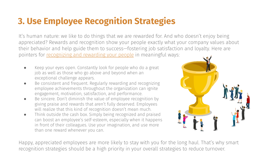### **3. Use Employee Recognition Strategies**

It's human nature: we like to do things that we are rewarded for. And who doesn't enjoy being appreciated? Rewards and recognition show your people exactly what your company values about their behavior and help guide them to success—fostering job satisfaction and loyalty. Here are pointers for [recognizing and rewarding your people](https://www.bamboohr.com/blog/best-employee-benefits-and-perks/) in meaningful ways:

- Keep your eyes open. Constantly look for people who do a great job as well as those who go above and beyond when an exceptional challenge appears.
- Be consistent and frequent. Regularly rewarding and recognizing employee achievements throughout the organization can ignite engagement, motivation, satisfaction, and performance.
- Be sincere. Don't diminish the value of employee recognition by giving praise and rewards that aren't fully deserved. Employees will realize that this kind of recognition doesn't mean much.
- Think outside the cash box. Simply being recognized and praised can boost an employee's self-esteem, especially when it happens in front of their colleagues. Use your imagination, and use more than one reward whenever you can.



Happy, appreciated employees are more likely to stay with you for the long haul. That's why smart recognition strategies should be a high priority in your overall strategies to reduce turnover.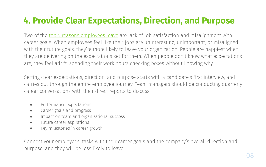### **4. Provide Clear Expectations, Direction, and Purpose**

Two of the [top 5 reasons employees leave](https://hubs.ly/H0jmyl00) are lack of job satisfaction and misalignment with career goals. When employees feel like their jobs are uninteresting, unimportant, or misaligned with their future goals, they're more likely to leave your organization. People are happiest when they are delivering on the expectations set for them. When people don't know what expectations are, they feel adrift, spending their work hours checking boxes without knowing why.

Setting clear expectations, direction, and purpose starts with a candidate's first interview, and carries out through the entire employee journey. Team managers should be conducting quarterly career conversations with their direct reports to discuss:

- Performance expectations
- Career goals and progress
- Impact on team and organizational success
- Future career aspirations
- Key milestones in career growth

Connect your employees' tasks with their career goals and the company's overall direction and purpose, and they will be less likely to leave.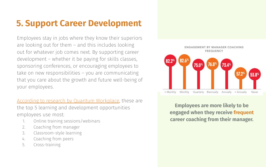#### **5. Support Career Development**

Employees stay in jobs where they know their superiors are looking out for them – and this includes looking out for whatever job comes next. By supporting career development – whether it be paying for skills classes, sponsoring conferences, or encouraging employees to take on new responsibilities – you are communicating that you care about the growth and future well-being of your employees.

[According to research by Quantum Workplace](https://hubs.ly/H0jmz1-0), these are the top 5 learning and development opportunities employees use most:

- 1. Online training sessions/webinars
- 2. Coaching from manager
- 3. Classroom-style learning
- 4. Coaching from peers
- 5. Cross-training



**Employees are more likely to be engaged when they receive frequent career coaching from their manager.**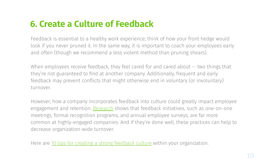#### **6. Create a Culture of Feedback**

Feedback is essential to a healthy work experience; think of how your front hedge would look if you never pruned it. In the same way, it is important to coach your employees early and often (though we recommend a less violent method than pruning shears).

When employees receive feedback, they feel cared for and cared about -- two things that they're not guaranteed to find at another company. Additionally, frequent and early feedback may prevent conflicts that might otherwise end in voluntary (or involuntary) turnover.

However, how a company incorporates feedback into culture could greatly impact employee engagement and retention. [Research](https://hubs.ly/H0jmz1r0) shows that feedback initiatives, such as one-on-one meetings, formal recognition programs, and annual employee surveys, are far more common at highly-engaged companies. And if they're done well, these practices can help to decrease organization-wide turnover.

Here are [10 tips for creating a strong feedback culture](https://hubs.ly/H0jmymg0) within your organization.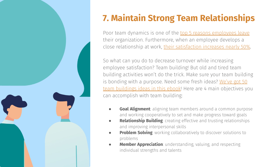

# **7. Maintain Strong Team Relationships**

Poor team dynamics is one of the [top 5 reasons employees leave](https://hubs.ly/H0jmyl00) their organization. Furthermore, when an employee develops a close relationship at work, [their satisfaction increases nearly 50%](https://hubs.ly/H0jmyj50).

So what can you do to decrease turnover while increasing employee satisfaction? Team building! But old and tired team building activities won't do the trick. Make sure your team building is bonding with a purpose. Need some fresh ideas? [We've got 50](https://hubs.ly/H0jmy-j0) [team buildings ideas in this ebook](https://hubs.ly/H0jmy-j0)! Here are 4 main objectives you can accomplish with team building:

- **Goal Alignment**: aligning team members around a common purpose and working cooperatively to set and make progress toward goals
- **Relationship Building**: creating effective and trusting relationships and improving interpersonal skills
- **Problem Solving:** working collaboratively to discover solutions to problems
- **Member Appreciation**: understanding, valuing, and respecting individual strengths and talents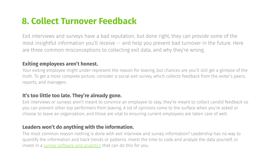#### **8. Collect Turnover Feedback**

Exit interviews and surveys have a bad reputation, but done right, they can provide some of the most insightful information you'll receive -- and help you prevent bad turnover in the future. Here are three common misconceptions to collecting exit data, and why they're wrong.

#### **Exiting employees aren't honest.**

Your exiting employee might under-represent the reason for leaving, but chances are you'll still get a glimpse of the truth. To get a more complete picture, consider a social exit survey, which collects feedback from the exiter's peers, reports, and managers.

#### **It's too little too late. They're already gone.**

Exit interviews or surveys aren't meant to convince an employee to stay, they're meant to collect candid feedback so you can prevent other top performers from leaving. A lot of opinions come to the surface when you're asked or choose to leave an organization, and those are vital to ensuring current employees are taken care of well.

#### **Leaders won't do anything with the information.**

The most common reason nothing is done with exit interview and survey information? Leadership has no way to quantify the information and track trends or patterns. Invest the time to code and analyze the data yourself, or invest in a [survey software and analytics](https://hubs.ly/H0jmyff0) that can do this for you.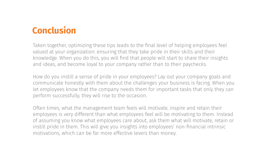#### **Conclusion**

Taken together, optimizing these tips leads to the final level of helping employees feel valued at your organization: ensuring that they take pride in their skills and their knowledge. When you do this, you will find that people will start to share their insights and ideas, and become loyal to your company rather than to their paychecks.

How do you instill a sense of pride in your employees? Lay out your company goals and communicate honestly with them about the challenges your business is facing. When you let employees know that the company needs them for important tasks that only they can perform successfully, they will rise to the occasion.

Often times, what the management team feels will motivate, inspire and retain their employees is very different than what employees feel will be motivating to them. Instead of assuming you know what employees care about, ask them what will motivate, retain or instill pride in them. This will give you insights into employees' non-financial intrinsic motivations, which can be far more effective levers than money.